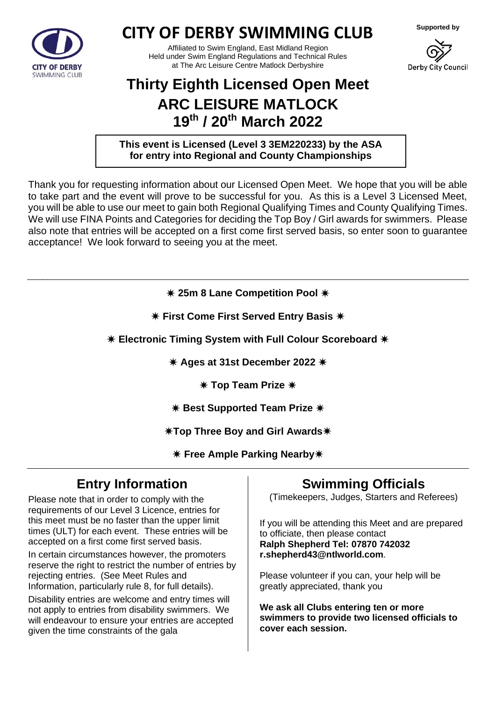

## **CITY OF DERBY SWIMMING CLUB**

Affiliated to Swim England, East Midland Region Held under Swim England Regulations and Technical Rules at The Arc Leisure Centre Matlock Derbyshire



Derby City Council

# **Thirty Eighth Licensed Open Meet ARC LEISURE MATLOCK 19th / 20th March 2022**

**This event is Licensed (Level 3 3EM220233) by the ASA for entry into Regional and County Championships**

Thank you for requesting information about our Licensed Open Meet. We hope that you will be able to take part and the event will prove to be successful for you. As this is a Level 3 Licensed Meet, you will be able to use our meet to gain both Regional Qualifying Times and County Qualifying Times. We will use FINA Points and Categories for deciding the Top Boy / Girl awards for swimmers. Please also note that entries will be accepted on a first come first served basis, so enter soon to guarantee acceptance! We look forward to seeing you at the meet.

**25m 8 Lane Competition Pool** 

**First Come First Served Entry Basis** 

**Electronic Timing System with Full Colour Scoreboard** 

**Ages at 31st December 2022**

**Top Team Prize** 

**K** Best Supported Team Prize  $*$ 

**Top Three Boy and Girl Awards**

**Free Ample Parking Nearby**

## **Entry Information**

Please note that in order to comply with the requirements of our Level 3 Licence, entries for this meet must be no faster than the upper limit times (ULT) for each event. These entries will be accepted on a first come first served basis.

In certain circumstances however, the promoters reserve the right to restrict the number of entries by rejecting entries. (See Meet Rules and Information, particularly rule 8, for full details).

Disability entries are welcome and entry times will not apply to entries from disability swimmers. We will endeavour to ensure your entries are accepted given the time constraints of the gala

## **Swimming Officials**

(Timekeepers, Judges, Starters and Referees)

If you will be attending this Meet and are prepared to officiate, then please contact **Ralph Shepherd Tel: 07870 742032 r.shepherd43@ntlworld.com**.

Please volunteer if you can, your help will be greatly appreciated, thank you

**We ask all Clubs entering ten or more swimmers to provide two licensed officials to cover each session.**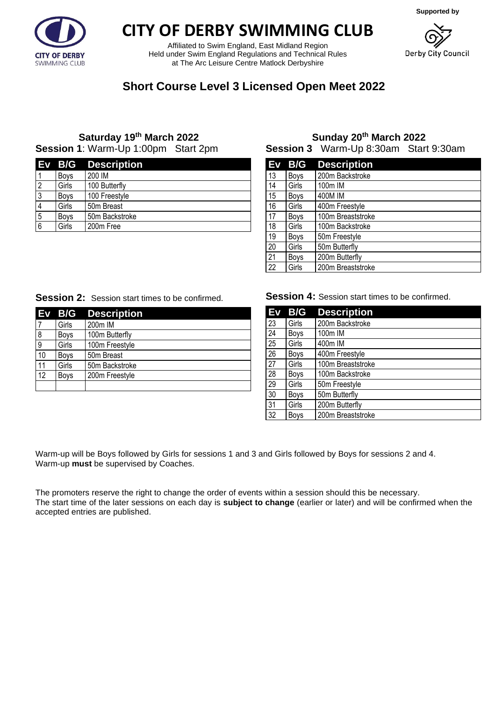**Supported by**



# **CITY OF DERBY SWIMMING CLUB**

Affiliated to Swim England, East Midland Region Held under Swim England Regulations and Technical Rules at The Arc Leisure Centre Matlock Derbyshire



## **Short Course Level 3 Licensed Open Meet 2022**

### **Saturday 19 th March 2022 Session 1**: Warm-Up 1:00pm Start 2pm

|                |             | Ev B/G Description |
|----------------|-------------|--------------------|
|                | <b>Boys</b> | 200 IM             |
| $\overline{2}$ | Girls       | 100 Butterfly      |
| 3              | <b>Boys</b> | 100 Freestyle      |
| 4              | Girls       | 50m Breast         |
| 5              | <b>Boys</b> | 50m Backstroke     |
| 6              | Girls       | 200m Free          |

#### **Sunday 20th March 2022 Session 3** Warm-Up 8:30am Start 9:30am

| Ev | B/G         | <b>Description</b> |
|----|-------------|--------------------|
| 13 | Boys        | 200m Backstroke    |
| 14 | Girls       | 100m IM            |
| 15 | <b>Boys</b> | 400M IM            |
| 16 | Girls       | 400m Freestyle     |
| 17 | <b>Boys</b> | 100m Breaststroke  |
| 18 | Girls       | 100m Backstroke    |
| 19 | <b>Boys</b> | 50m Freestyle      |
| 20 | Girls       | 50m Butterfly      |
| 21 | <b>Boys</b> | 200m Butterfly     |
| 22 | Girls       | 200m Breaststroke  |

#### **Session 2:** Session start times to be confirmed.

|    | $Ev$ B/G    | <b>Description</b> |
|----|-------------|--------------------|
|    | Girls       | 200m IM            |
| 8  | <b>Boys</b> | 100m Butterfly     |
| 9  | Girls       | 100m Freestyle     |
| 10 | Boys        | 50m Breast         |
| 11 | Girls       | 50m Backstroke     |
| 12 | <b>Boys</b> | 200m Freestyle     |
|    |             |                    |

**Session 4: Session start times to be confirmed.** 

| Ev              | B/G         | <b>Description</b> |
|-----------------|-------------|--------------------|
| 23              | Girls       | 200m Backstroke    |
| 24              | Boys        | 100m IM            |
| $\overline{25}$ | Girls       | 400m IM            |
| 26              | <b>Boys</b> | 400m Freestyle     |
| 27              | Girls       | 100m Breaststroke  |
| 28              | Boys        | 100m Backstroke    |
| 29              | Girls       | 50m Freestyle      |
| 30              | Boys        | 50m Butterfly      |
| 31              | Girls       | 200m Butterfly     |
| 32              | <b>Boys</b> | 200m Breaststroke  |

Warm-up will be Boys followed by Girls for sessions 1 and 3 and Girls followed by Boys for sessions 2 and 4. Warm-up **must** be supervised by Coaches.

The promoters reserve the right to change the order of events within a session should this be necessary. The start time of the later sessions on each day is **subject to change** (earlier or later) and will be confirmed when the accepted entries are published.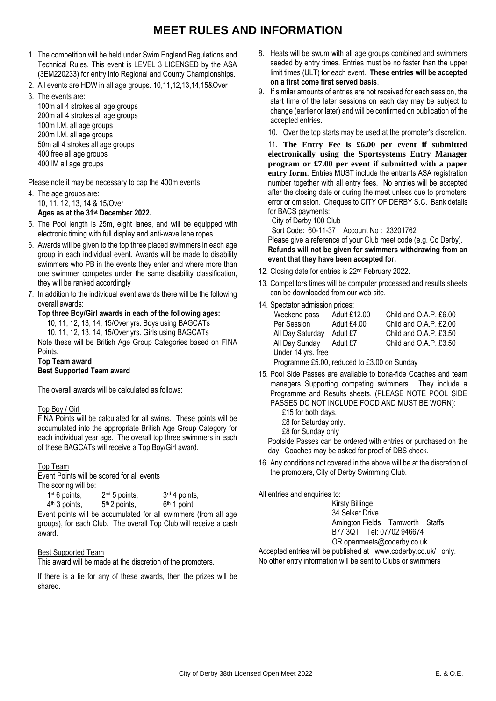## **MEET RULES AND INFORMATION**

- 1. The competition will be held under Swim England Regulations and Technical Rules. This event is LEVEL 3 LICENSED by the ASA (3EM220233) for entry into Regional and County Championships.
- 2. All events are HDW in all age groups. 10,11,12,13,14,15&Over
- 3. The events are:

100m all 4 strokes all age groups 200m all 4 strokes all age groups 100m I.M. all age groups 200m I.M. all age groups 50m all 4 strokes all age groups 400 free all age groups 400 IM all age groups

Please note it may be necessary to cap the 400m events

- 4. The age groups are: 10, 11, 12, 13, 14 & 15/Over **Ages as at the 31st December 2022.**
- 5. The Pool length is 25m, eight lanes, and will be equipped with electronic timing with full display and anti-wave lane ropes.
- 6. Awards will be given to the top three placed swimmers in each age group in each individual event. Awards will be made to disability swimmers who PB in the events they enter and where more than one swimmer competes under the same disability classification, they will be ranked accordingly
- 7. In addition to the individual event awards there will be the following overall awards:

#### **Top three Boy/Girl awards in each of the following ages:**

10, 11, 12, 13, 14, 15/Over yrs. Boys using BAGCATs

10, 11, 12, 13, 14, 15/Over yrs. Girls using BAGCATs

Note these will be British Age Group Categories based on FINA **Points** 

**Top Team award Best Supported Team award**

The overall awards will be calculated as follows:

#### Top Boy / Girl

FINA Points will be calculated for all swims. These points will be accumulated into the appropriate British Age Group Category for each individual year age. The overall top three swimmers in each of these BAGCATs will receive a Top Boy/Girl award.

#### Top Team

Event Points will be scored for all events The scoring will be:

| 1 <sup>st</sup> 6 points, | 2 <sup>nd</sup> 5 points, | $3rd$ 4 points,                                                 |
|---------------------------|---------------------------|-----------------------------------------------------------------|
| $4th$ 3 points,           | $5th$ 2 points,           | $6th$ 1 point.                                                  |
|                           |                           | Event points will be accumulated for all swimmers (from all age |

groups), for each Club. The overall Top Club will receive a cash award.

#### Best Supported Team

This award will be made at the discretion of the promoters.

If there is a tie for any of these awards, then the prizes will be shared.

- 8. Heats will be swum with all age groups combined and swimmers seeded by entry times. Entries must be no faster than the upper limit times (ULT) for each event. **These entries will be accepted on a first come first served basis**.
- 9. If similar amounts of entries are not received for each session, the start time of the later sessions on each day may be subject to change (earlier or later) and will be confirmed on publication of the accepted entries.
	- 10. Over the top starts may be used at the promoter's discretion.

11. **The Entry Fee is £6.00 per event if submitted electronically using the Sportsystems Entry Manager program or £7.00 per event if submitted with a paper entry form**. Entries MUST include the entrants ASA registration number together with all entry fees. No entries will be accepted after the closing date or during the meet unless due to promoters' error or omission. Cheques to CITY OF DERBY S.C. Bank details for BACS payments:

City of Derby 100 Club

 Sort Code: 60-11-37 Account No : 23201762 Please give a reference of your Club meet code (e.g. Co Derby).

**Refunds will not be given for swimmers withdrawing from an event that they have been accepted for.**

- 12. Closing date for entries is 22nd February 2022.
- 13. Competitors times will be computer processed and results sheets can be downloaded from our web site.
- 14. Spectator admission prices:

| Weekend pass                                | Adult £12.00 | Child and O.A.P. £6.00 |  |  |  |  |  |
|---------------------------------------------|--------------|------------------------|--|--|--|--|--|
| Per Session                                 | Adult £4.00  | Child and O.A.P. £2.00 |  |  |  |  |  |
| All Day Saturday                            | Adult £7     | Child and O.A.P. £3.50 |  |  |  |  |  |
| All Day Sunday Adult £7                     |              | Child and O.A.P. £3.50 |  |  |  |  |  |
| Under 14 yrs. free                          |              |                        |  |  |  |  |  |
| Programme £5.00, reduced to £3.00 on Sunday |              |                        |  |  |  |  |  |

- 15. Pool Side Passes are available to bona-fide Coaches and team managers Supporting competing swimmers. They include a Programme and Results sheets. (PLEASE NOTE POOL SIDE PASSES DO NOT INCLUDE FOOD AND MUST BE WORN):
	- £15 for both days.
	- £8 for Saturday only.
	- £8 for Sunday only

Poolside Passes can be ordered with entries or purchased on the day. Coaches may be asked for proof of DBS check.

16. Any conditions not covered in the above will be at the discretion of the promoters, City of Derby Swimming Club.

All entries and enquiries to:

Kirsty Billinge 34 Selker Drive Amington Fields Tamworth Staffs B77 3QT Tel: 07702 946674 OR openmeets@coderby.co.uk Accepted entries will be published at www.coderby.co.uk/ only.

No other entry information will be sent to Clubs or swimmers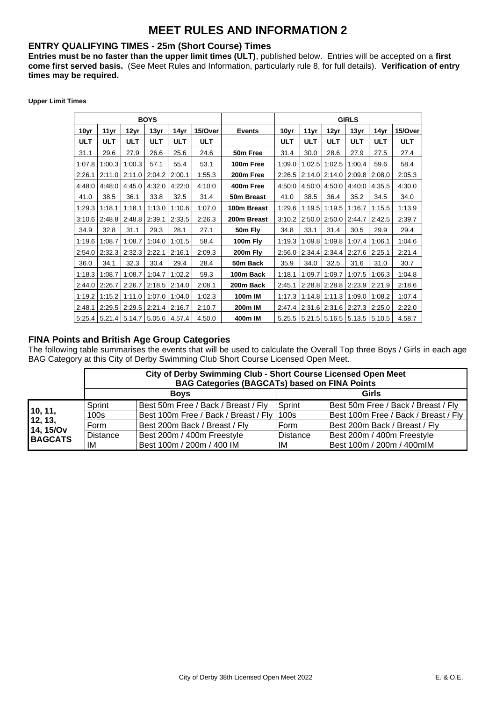## **MEET RULES AND INFORMATION 2**

#### **ENTRY QUALIFYING TIMES - 25m (Short Course) Times**

**Entries must be no faster than the upper limit times (ULT)**, published below. Entries will be accepted on a **first come first served basis.** (See Meet Rules and Information, particularly rule 8, for full details). **Verification of entry times may be required.** 

| <b>Upper Limit Times</b> |  |  |
|--------------------------|--|--|
|--------------------------|--|--|

|            |            |                                              | <b>BOYS</b> |            |            |               | <b>GIRLS</b> |            |                                                      |            |            |            |
|------------|------------|----------------------------------------------|-------------|------------|------------|---------------|--------------|------------|------------------------------------------------------|------------|------------|------------|
| 10yr       | 11yr       | 12yr                                         | 13yr        | 14yr       | 15/Over    | <b>Events</b> | 10yr         | 11yr       | 12yr                                                 | 13yr       | 14yr       | 15/Over    |
| <b>ULT</b> | <b>ULT</b> | <b>ULT</b>                                   | <b>ULT</b>  | <b>ULT</b> | <b>ULT</b> |               | <b>ULT</b>   | <b>ULT</b> | <b>ULT</b>                                           | <b>ULT</b> | <b>ULT</b> | <b>ULT</b> |
| 31.1       | 29.6       | 27.9                                         | 26.6        | 25.6       | 24.6       | 50m Free      | 31.4         | 30.0       | 28.6                                                 | 27.9       | 27.5       | 27.4       |
| 1:07.8     | 1:00.3     | 1:00.3                                       | 57.1        | 55.4       | 53.1       | 100m Free     | 1:09.0       |            | $1:02.5$ 1:02.5                                      | 1:00.4     | 59.6       | 58.4       |
| 2:26.1     | 2:11.0     | 2:11.0                                       | 2:04.2      | 2:00.1     | 1:55.3     | 200m Free     | 2:26.5       |            | $\left  2:14.0 \right  2:14.0 \left  2:09.8 \right $ |            | 2:08.0     | 2:05.3     |
| 4:48:0     | 4:48:0     | 4:45.0                                       | 4:32:0      | 4.22:0     | 4:10:0     | 400m Free     | 4:50:0       |            | 4:50:0 4:50:0                                        | 4:40:0     | 4:35.5     | 4:30.0     |
| 41.0       | 38.5       | 36.1                                         | 33.8        | 32.5       | 31.4       | 50m Breast    | 41.0         | 38.5       | 36.4                                                 | 35.2       | 34.5       | 34.0       |
| 1:29.3     | 1:18.1     | 1:18.1                                       | 1:13.0      | 1:10.6     | 1:07.0     | 100m Breast   | 1:29.6       |            | $1:19.5$ 1:19.5                                      | 1:16.7     | 1:15.5     | 1:13.9     |
| 3:10.6     | 2:48.8     | 2:48.8                                       | 2:39.1      | 2:33.5     | 2:26.3     | 200m Breast   | 3:10.2       |            | $2:50.0$ 2:50.0                                      | 2:44.7     | 2:42.5     | 2:39.7     |
| 34.9       | 32.8       | 31.1                                         | 29.3        | 28.1       | 27.1       | 50m Fly       | 34.8         | 33.1       | 31.4                                                 | 30.5       | 29.9       | 29.4       |
| 1:19.6     | 1:08.7     | 1:08.7                                       | 1:04.0      | 1:01.5     | 58.4       | 100m Fly      | 1:19.3       |            | 1:09.8 1:09.8                                        | 1:07.4     | 1:06.1     | 1:04.6     |
| 2:54.0     | 2:32.3     | 2:32.3                                       | 2:22.1      | 2:16.1     | 2:09.3     | 200m Fly      | 2:56.0       |            | 2:34.4 2:34.4                                        | 2:27.6     | 2:25.1     | 2:21.4     |
| 36.0       | 34.1       | 32.3                                         | 30.4        | 29.4       | 28.4       | 50m Back      | 35.9         | 34.0       | 32.5                                                 | 31.6       | 31.0       | 30.7       |
| 1:18.3     | 1:08.7     | 1:08.7                                       | 1:04.7      | 1:02.2     | 59.3       | 100m Back     | 1:18.1       | 1:09.7     | 1:09.7                                               | 1:07.5     | 1:06.3     | 1:04.8     |
| 2:44.0     | 2:26.7     | 2:26.7                                       | 2:18.5      | 2:14.0     | 2:08.1     | 200m Back     | 2:45.1       |            | $2:28.8$ 2:28.8                                      | 2:23.9     | 2:21.9     | 2:18.6     |
| 1:19.2     | 1:15.2     | 1:11.0                                       | 1:07.0      | 1:04.0     | 1:02.3     | 100m IM       | 1:17.3       |            | $1:14.8$   1:11.3                                    | 1:09.0     | 1:08.2     | 1:07.4     |
| 2:48.1     | 2:29.5     | 2:29.5                                       | 2:21.4      | 2:16.7     | 2:10.7     | 200m IM       | 2:47.4       |            | $2:31.6$ 2:31.6                                      | 2:27.3     | 2:25.0     | 2:22.0     |
|            |            | $5:25.4$   5.21.4   5.14.7   5.05.6   4.57.4 |             |            | 4.50.0     | 400m IM       |              |            | 5.25.5 5.21.5 5.16.5 5.13.5 5.10.5                   |            |            | 4.58.7     |

#### **FINA Points and British Age Group Categories**

The following table summarises the events that will be used to calculate the Overall Top three Boys / Girls in each age BAG Category at this City of Derby Swimming Club Short Course Licensed Open Meet.

|                    | City of Derby Swimming Club - Short Course Licensed Open Meet<br><b>BAG Categories (BAGCATs) based on FINA Points</b> |                                             |                 |                                      |  |  |  |  |  |
|--------------------|-----------------------------------------------------------------------------------------------------------------------|---------------------------------------------|-----------------|--------------------------------------|--|--|--|--|--|
|                    |                                                                                                                       | <b>Boys</b>                                 | Girls           |                                      |  |  |  |  |  |
|                    | Sprint                                                                                                                | Best 50m Free / Back / Breast / Fly         | Sprint          | Best 50m Free / Back / Breast / Fly  |  |  |  |  |  |
| 10, 11,<br>12, 13, | 100 <sub>s</sub>                                                                                                      | Best 100m Free / Back / Breast / Fly   100s |                 | Best 100m Free / Back / Breast / Fly |  |  |  |  |  |
| 14, 15/Ov          | Form                                                                                                                  | Best 200m Back / Breast / Fly               | Form            | Best 200m Back / Breast / Fly        |  |  |  |  |  |
| <b>BAGCATS</b>     | <b>Distance</b>                                                                                                       | Best 200m / 400m Freestyle                  | <b>Distance</b> | Best 200m / 400m Freestyle           |  |  |  |  |  |
|                    | IM                                                                                                                    | Best 100m / 200m / 400 IM                   | IM              | Best 100m / 200m / 400mlM            |  |  |  |  |  |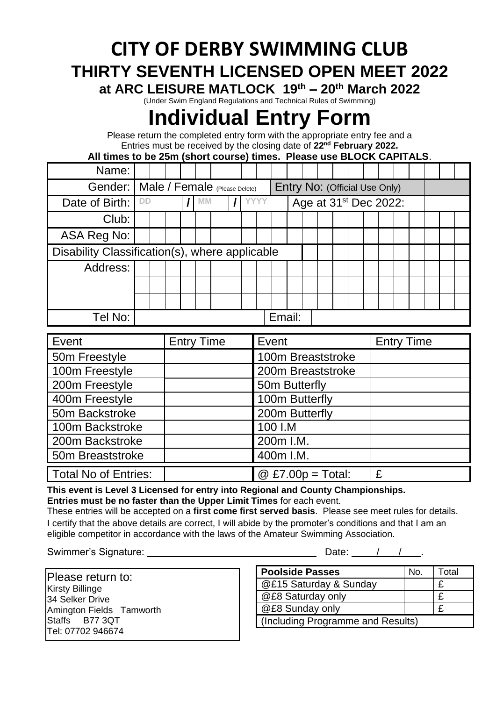# **CITY OF DERBY SWIMMING CLUB THIRTY SEVENTH LICENSED OPEN MEET 2022**

**at ARC LEISURE MATLOCK 19 th – 20th March 2022**

(Under Swim England Regulations and Technical Rules of Swimming)

# **Individual Entry Form**

Please return the completed entry form with the appropriate entry fee and a Entries must be received by the closing date of **22nd February 2022.**

**All times to be 25m (short course) times. Please use BLOCK CAPITALS**.

| Name:                                          |           |  |    |  |  |  |        |                                   |  |  |  |  |  |  |  |  |
|------------------------------------------------|-----------|--|----|--|--|--|--------|-----------------------------------|--|--|--|--|--|--|--|--|
| Gender:   Male / Female (Please Delete)        |           |  |    |  |  |  |        | Entry No: (Official Use Only)     |  |  |  |  |  |  |  |  |
| Date of Birth:                                 | <b>DD</b> |  | MM |  |  |  |        | Age at 31 <sup>st</sup> Dec 2022: |  |  |  |  |  |  |  |  |
| Club:                                          |           |  |    |  |  |  |        |                                   |  |  |  |  |  |  |  |  |
| ASA Reg No:                                    |           |  |    |  |  |  |        |                                   |  |  |  |  |  |  |  |  |
| Disability Classification(s), where applicable |           |  |    |  |  |  |        |                                   |  |  |  |  |  |  |  |  |
| Address:                                       |           |  |    |  |  |  |        |                                   |  |  |  |  |  |  |  |  |
|                                                |           |  |    |  |  |  |        |                                   |  |  |  |  |  |  |  |  |
|                                                |           |  |    |  |  |  |        |                                   |  |  |  |  |  |  |  |  |
| Tel No:                                        |           |  |    |  |  |  | Email: |                                   |  |  |  |  |  |  |  |  |

| Event                       | <b>Entry Time</b> | Event                             | <b>Entry Time</b> |
|-----------------------------|-------------------|-----------------------------------|-------------------|
| 50m Freestyle               |                   | 100m Breaststroke                 |                   |
| 100m Freestyle              |                   | 200m Breaststroke                 |                   |
| 200m Freestyle              |                   | 50m Butterfly                     |                   |
| 400m Freestyle              |                   | 100m Butterfly                    |                   |
| 50m Backstroke              |                   | 200m Butterfly                    |                   |
| 100m Backstroke             |                   | 100 I.M                           |                   |
| 200m Backstroke             |                   | 200m I.M.                         |                   |
| 50m Breaststroke            |                   | 400m I.M.                         |                   |
| <b>Total No of Entries:</b> |                   | $\textcircled{2}$ £7.00p = Total: | £                 |

**This event is Level 3 Licensed for entry into Regional and County Championships. Entries must be no faster than the Upper Limit Times** for each event.

These entries will be accepted on a **first come first served basis**. Please see meet rules for details. I certify that the above details are correct, I will abide by the promoter's conditions and that I am an eligible competitor in accordance with the laws of the Amateur Swimming Association.

Swimmer's Signature: Date: / / .

| Please return to:        |
|--------------------------|
| <b>Kirsty Billinge</b>   |
| 34 Selker Drive          |
| Amington Fields Tamworth |
| Staffs B77 3QT           |
| Tel: 07702 946674        |

| <b>Poolside Passes</b>            | No. | Total |  |
|-----------------------------------|-----|-------|--|
| @£15 Saturday & Sunday            |     |       |  |
| @£8 Saturday only                 |     |       |  |
| @£8 Sunday only                   |     |       |  |
| (Including Programme and Results) |     |       |  |